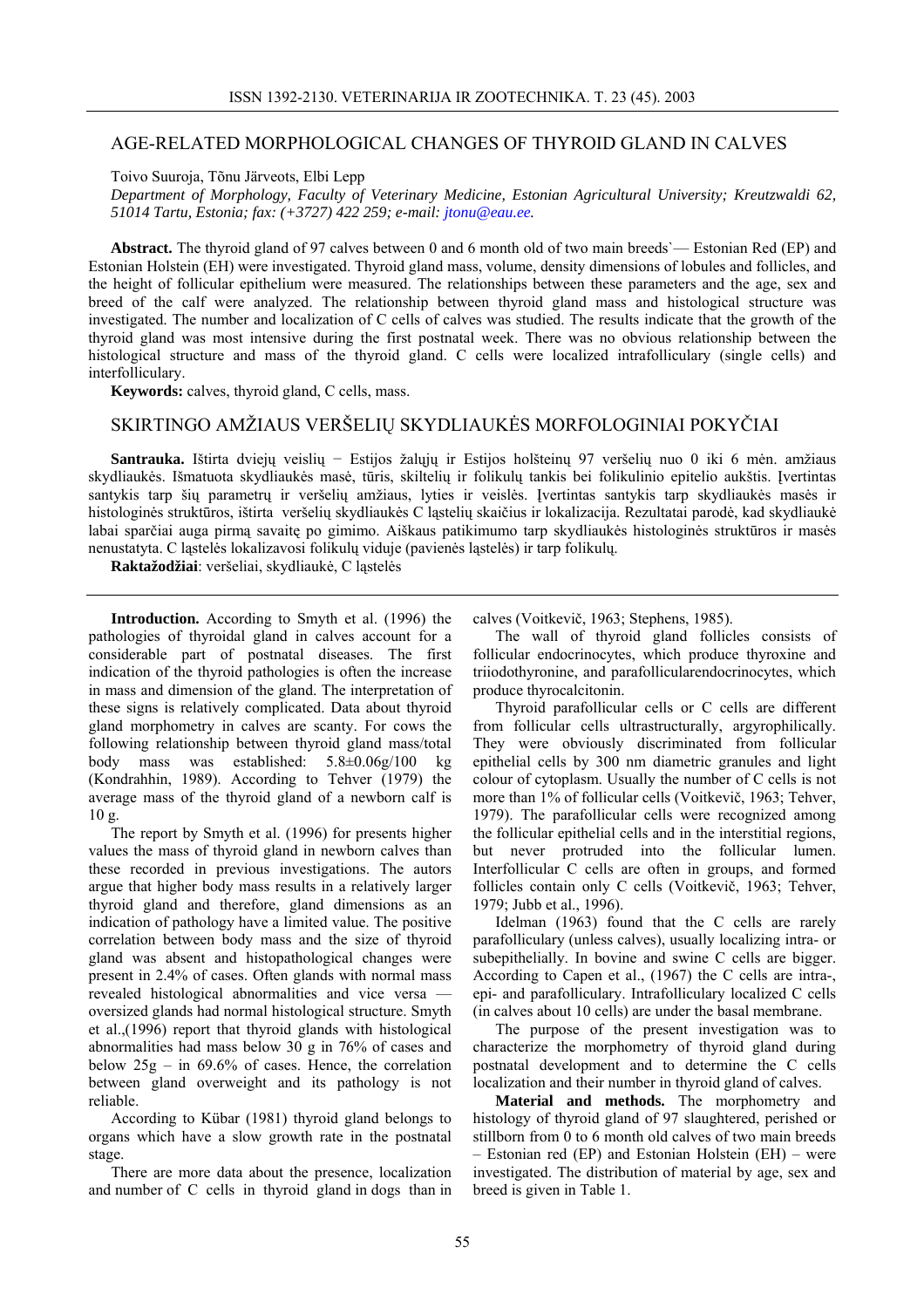## AGE-RELATED MORPHOLOGICAL CHANGES OF THYROID GLAND IN CALVES

Toivo Suuroja, Tõnu Järveots, Elbi Lepp

*Department of Morphology, Faculty of Veterinary Medicine, Estonian Agricultural University; Kreutzwaldi 62, 51014 Tartu, Estonia; fax: (+3727) 422 259; e-mail: jtonu@eau.ee.* 

**Abstract.** The thyroid gland of 97 calves between 0 and 6 month old of two main breeds`— Estonian Red (EP) and Estonian Holstein (EH) were investigated. Thyroid gland mass, volume, density dimensions of lobules and follicles, and the height of follicular epithelium were measured. The relationships between these parameters and the age, sex and breed of the calf were analyzed. The relationship between thyroid gland mass and histological structure was investigated. The number and localization of C cells of calves was studied. The results indicate that the growth of the thyroid gland was most intensive during the first postnatal week. There was no obvious relationship between the histological structure and mass of the thyroid gland. C cells were localized intrafolliculary (single cells) and interfolliculary.

**Keywords:** calves, thyroid gland, C cells, mass.

# SKIRTINGO AMŽIAUS VERŠELIŲ SKYDLIAUKĖS MORFOLOGINIAI POKYČIAI

**Santrauka.** Ištirta dviejų veislių − Estijos žalųjų ir Estijos holšteinų 97 veršelių nuo 0 iki 6 mėn. amžiaus skydliaukės. Išmatuota skydliaukės masė, tūris, skiltelių ir folikulų tankis bei folikulinio epitelio aukštis. Įvertintas santykis tarp šių parametrų ir veršelių amžiaus, lyties ir veislės. Įvertintas santykis tarp skydliaukės masės ir histologinės struktūros, ištirta veršelių skydliaukės C ląstelių skaičius ir lokalizacija. Rezultatai parodė, kad skydliaukė labai sparčiai auga pirmą savaitę po gimimo. Aiškaus patikimumo tarp skydliaukės histologinės struktūros ir masės nenustatyta. C ląstelės lokalizavosi folikulų viduje (pavienės ląstelės) ir tarp folikulų.

**Raktažodžiai**: veršeliai, skydliaukė, C ląstelės

**Introduction.** According to Smyth et al. (1996) the pathologies of thyroidal gland in calves account for a considerable part of postnatal diseases. The first indication of the thyroid pathologies is often the increase in mass and dimension of the gland. The interpretation of these signs is relatively complicated. Data about thyroid gland morphometry in calves are scanty. For cows the following relationship between thyroid gland mass/total body mass was established: 5.8±0.06g/100 kg (Kondrahhin, 1989). According to Tehver (1979) the average mass of the thyroid gland of a newborn calf is 10 g.

The report by Smyth et al. (1996) for presents higher values the mass of thyroid gland in newborn calves than these recorded in previous investigations. The autors argue that higher body mass results in a relatively larger thyroid gland and therefore, gland dimensions as an indication of pathology have a limited value. The positive correlation between body mass and the size of thyroid gland was absent and histopathological changes were present in 2.4% of cases. Often glands with normal mass revealed histological abnormalities and vice versa oversized glands had normal histological structure. Smyth et al.,(1996) report that thyroid glands with histological abnormalities had mass below 30 g in 76% of cases and below  $25g - in 69.6\%$  of cases. Hence, the correlation between gland overweight and its pathology is not reliable.

According to Kübar (1981) thyroid gland belongs to organs which have a slow growth rate in the postnatal stage.

There are more data about the presence, localization and number of C cells in thyroid gland in dogs than in calves (Voitkevič, 1963; Stephens, 1985).

The wall of thyroid gland follicles consists of follicular endocrinocytes, which produce thyroxine and triiodothyronine, and parafollicularendocrinocytes, which produce thyrocalcitonin.

Thyroid parafollicular cells or C cells are different from follicular cells ultrastructurally, argyrophilically. They were obviously discriminated from follicular epithelial cells by 300 nm diametric granules and light colour of cytoplasm. Usually the number of C cells is not more than 1% of follicular cells (Voitkevič, 1963; Tehver, 1979). The parafollicular cells were recognized among the follicular epithelial cells and in the interstitial regions, but never protruded into the follicular lumen. Interfollicular C cells are often in groups, and formed follicles contain only C cells (Voitkevič, 1963; Tehver, 1979; Jubb et al., 1996).

Idelman (1963) found that the C cells are rarely parafolliculary (unless calves), usually localizing intra- or subepithelially. In bovine and swine C cells are bigger. According to Capen et al., (1967) the C cells are intra-, epi- and parafolliculary. Intrafolliculary localized C cells (in calves about 10 cells) are under the basal membrane.

The purpose of the present investigation was to characterize the morphometry of thyroid gland during postnatal development and to determine the C cells localization and their number in thyroid gland of calves.

**Material and methods.** The morphometry and histology of thyroid gland of 97 slaughtered, perished or stillborn from 0 to 6 month old calves of two main breeds – Estonian red (EP) and Estonian Holstein (EH) – were investigated. The distribution of material by age, sex and breed is given in Table 1.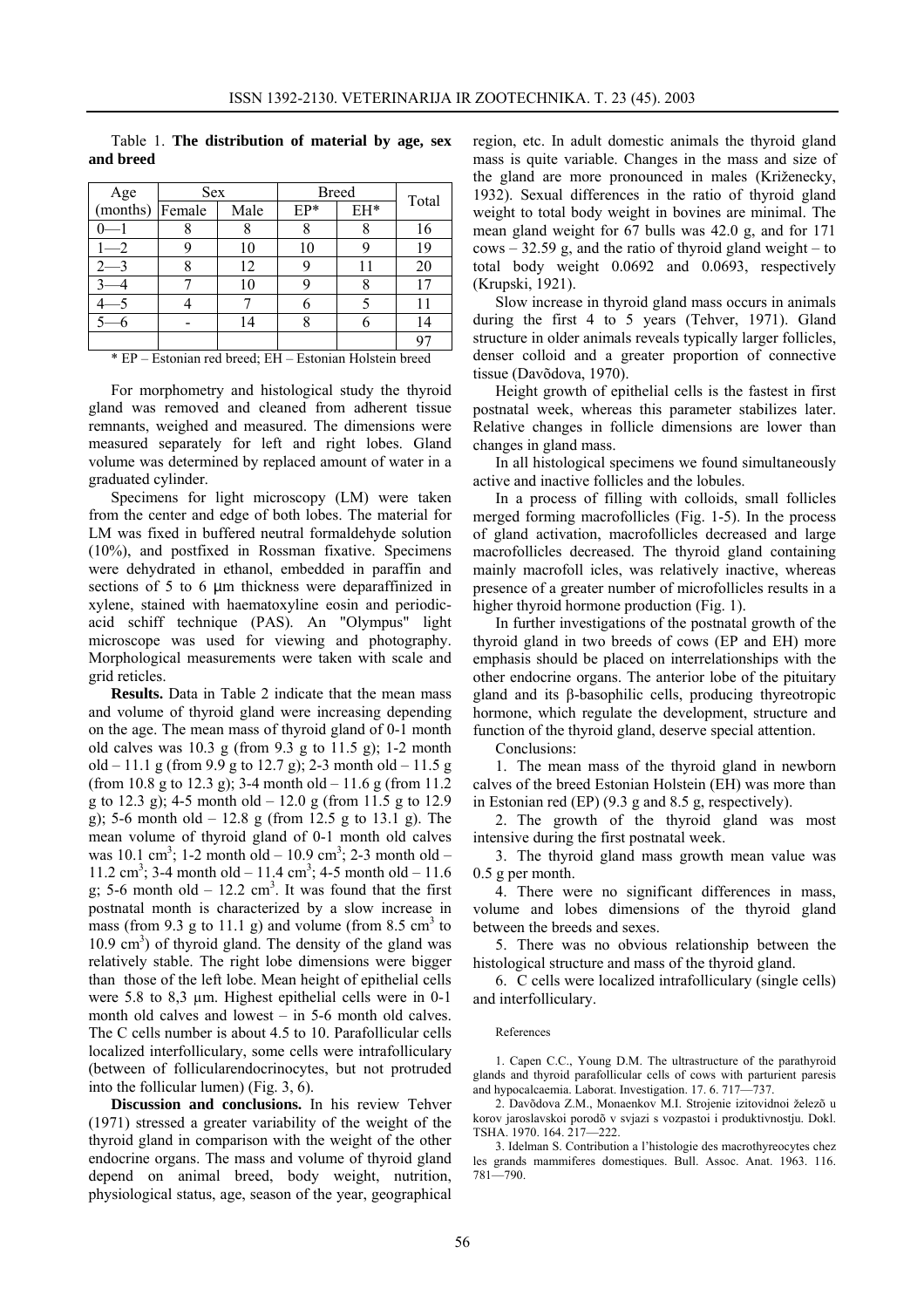|                            | <b>Sex</b> |      | <b>Breed</b> |     | Total |
|----------------------------|------------|------|--------------|-----|-------|
| Age $S$<br>(months) Female |            | Male | $EP*$        | EH* |       |
|                            |            |      |              |     | 16    |
|                            |            | 10   | 10           |     | 19    |
|                            |            | 12   |              |     | 20    |
|                            |            | 10   |              |     |       |
|                            |            |      |              |     |       |
|                            |            | 14   |              |     | 14    |
|                            |            |      |              |     | g,    |

Table 1. **The distribution of material by age, sex and breed**

\* EP – Estonian red breed; EH – Estonian Holstein breed

For morphometry and histological study the thyroid gland was removed and cleaned from adherent tissue remnants, weighed and measured. The dimensions were measured separately for left and right lobes. Gland volume was determined by replaced amount of water in a graduated cylinder.

Specimens for light microscopy (LM) were taken from the center and edge of both lobes. The material for LM was fixed in buffered neutral formaldehyde solution (10%), and postfixed in Rossman fixative. Specimens were dehydrated in ethanol, embedded in paraffin and sections of 5 to 6 µm thickness were deparaffinized in xylene, stained with haematoxyline eosin and periodicacid schiff technique (PAS). An "Olympus" light microscope was used for viewing and photography. Morphological measurements were taken with scale and grid reticles.

**Results.** Data in Table 2 indicate that the mean mass and volume of thyroid gland were increasing depending on the age. The mean mass of thyroid gland of 0-1 month old calves was 10.3 g (from 9.3 g to 11.5 g); 1-2 month old – 11.1 g (from 9.9 g to 12.7 g); 2-3 month old – 11.5 g (from 10.8 g to 12.3 g); 3-4 month old – 11.6 g (from 11.2 g to 12.3 g); 4-5 month old – 12.0 g (from 11.5 g to 12.9 g); 5-6 month old – 12.8 g (from 12.5 g to 13.1 g). The mean volume of thyroid gland of 0-1 month old calves was  $10.1 \text{ cm}^3$ ;  $1-2 \text{ month old} - 10.9 \text{ cm}^3$ ;  $2-3 \text{ month old} -$ 11.2 cm<sup>3</sup>; 3-4 month old – 11.4 cm<sup>3</sup>; 4-5 month old – 11.6 g; 5-6 month old  $-12.2$  cm<sup>3</sup>. It was found that the first postnatal month is characterized by a slow increase in mass (from 9.3 g to 11.1 g) and volume (from 8.5 cm<sup>3</sup> to 10.9 cm<sup>3</sup>) of thyroid gland. The density of the gland was relatively stable. The right lobe dimensions were bigger than those of the left lobe. Mean height of epithelial cells were 5.8 to 8,3 µm. Highest epithelial cells were in 0-1 month old calves and lowest – in 5-6 month old calves. The C cells number is about 4.5 to 10. Parafollicular cells localized interfolliculary, some cells were intrafolliculary (between of follicularendocrinocytes, but not protruded into the follicular lumen) (Fig. 3, 6).

**Discussion and conclusions.** In his review Tehver (1971) stressed a greater variability of the weight of the thyroid gland in comparison with the weight of the other endocrine organs. The mass and volume of thyroid gland depend on animal breed, body weight, nutrition, physiological status, age, season of the year, geographical region, etc. In adult domestic animals the thyroid gland mass is quite variable. Changes in the mass and size of the gland are more pronounced in males (Križenecky, 1932). Sexual differences in the ratio of thyroid gland weight to total body weight in bovines are minimal. The mean gland weight for 67 bulls was 42.0 g, and for 171  $cows - 32.59$  g, and the ratio of thyroid gland weight – to total body weight 0.0692 and 0.0693, respectively (Krupski, 1921).

Slow increase in thyroid gland mass occurs in animals during the first 4 to 5 years (Tehver, 1971). Gland structure in older animals reveals typically larger follicles, denser colloid and a greater proportion of connective tissue (Davõdova, 1970).

Height growth of epithelial cells is the fastest in first postnatal week, whereas this parameter stabilizes later. Relative changes in follicle dimensions are lower than changes in gland mass.

In all histological specimens we found simultaneously active and inactive follicles and the lobules.

In a process of filling with colloids, small follicles merged forming macrofollicles (Fig. 1-5). In the process of gland activation, macrofollicles decreased and large macrofollicles decreased. The thyroid gland containing mainly macrofoll icles, was relatively inactive, whereas presence of a greater number of microfollicles results in a higher thyroid hormone production (Fig. 1).

In further investigations of the postnatal growth of the thyroid gland in two breeds of cows (EP and EH) more emphasis should be placed on interrelationships with the other endocrine organs. The anterior lobe of the pituitary gland and its β-basophilic cells, producing thyreotropic hormone, which regulate the development, structure and function of the thyroid gland, deserve special attention.

Conclusions:

1. The mean mass of the thyroid gland in newborn calves of the breed Estonian Holstein (EH) was more than in Estonian red (EP) (9.3 g and 8.5 g, respectively).

2. The growth of the thyroid gland was most intensive during the first postnatal week.

3. The thyroid gland mass growth mean value was 0.5 g per month.

4. There were no significant differences in mass, volume and lobes dimensions of the thyroid gland between the breeds and sexes.

5. There was no obvious relationship between the histological structure and mass of the thyroid gland.

6. C cells were localized intrafolliculary (single cells) and interfolliculary.

### References

1. Capen C.C., Young D.M. The ultrastructure of the parathyroid glands and thyroid parafollicular cells of cows with parturient paresis and hypocalcaemia. Laborat. Investigation. 17. 6. 717—737.

2. Davõdova Z.M., Monaenkov M.I. Strojenie izitovidnoi železõ u korov jaroslavskoi porodõ v svjazi s vozpastoi i produktivnostju. Dokl. TSHA. 1970. 164. 217—222.

3. Idelman S. Contribution a l'histologie des macrothyreocytes chez les grands mammiferes domestiques. Bull. Assoc. Anat. 1963. 116. 781—790.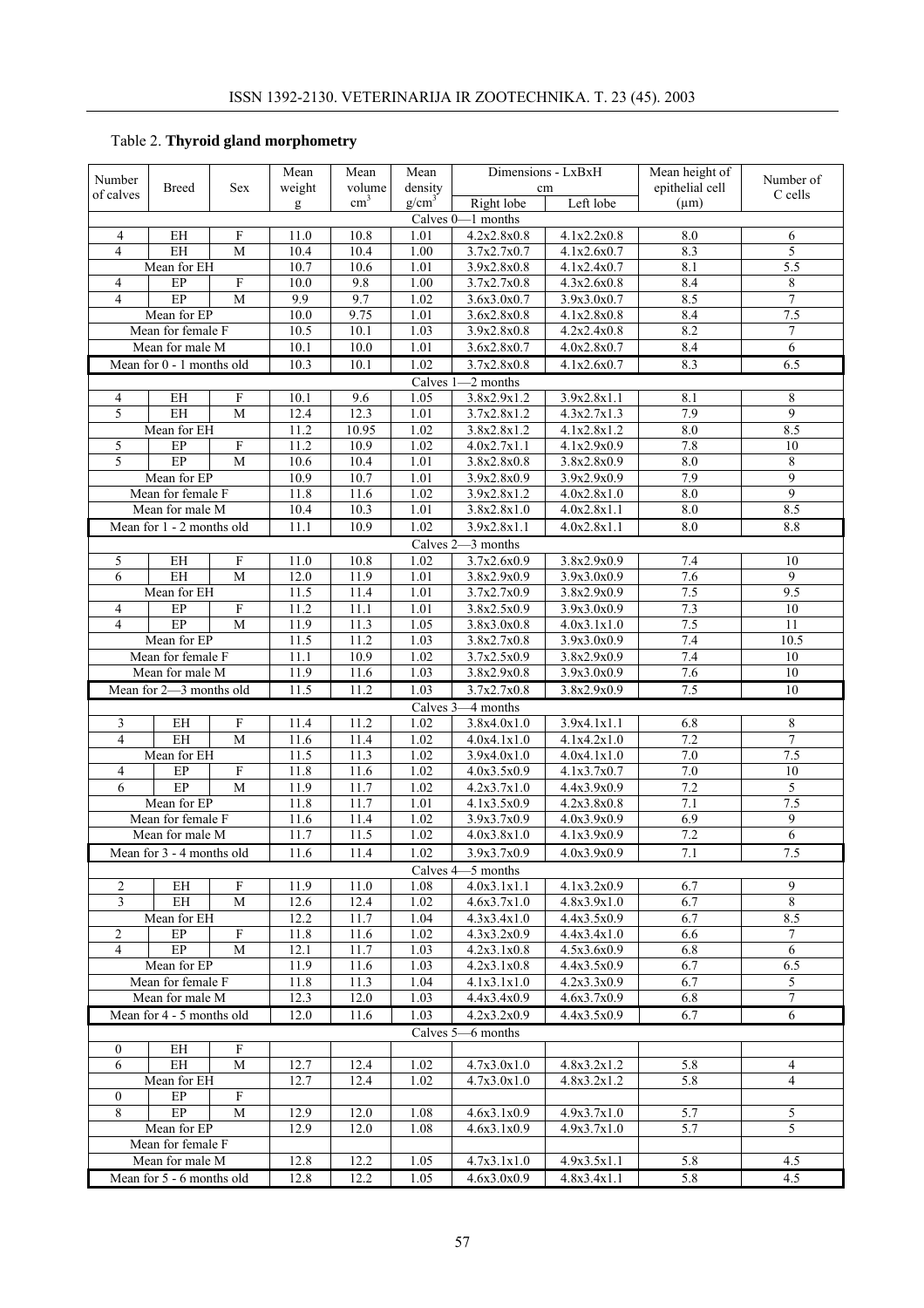#### Dimensions - LxBxH  $\begin{array}{c|c|c|c|c|c} \text{Number} & \text{Breed} & \text{Sex} & \text{weight} & \text{volume} & \text{density} & \text{Emensions} \end{array}$ Number Breed Sex Mean weight g Mean volume  $\text{cm}^3$ Mean density  $g/cm<sup>3</sup>$  Right lobe Left lobe Mean height of epithelial cell  $(\mu m)$ Number of C cells Calves 0—1 months 4 EH | F | 11.0 | 10.8 | 1.01 | 4.2x2.8x0.8 | 4.1x2.2x0.8 | 8.0 | 6 4 | EH | M | 10.4 | 10.4 | 1.00 | 3.7x2.7x0.7 | 4.1x2.6x0.7 | 8.3 | 5 Mean for EH 10.7 | 10.6 | 1.01 | 3.9x2.8x0.8 | 4.1x2.4x0.7 | 8.1 | 5.5 4 | EP | F | 10.0 | 9.8 | 1.00 | 3.7x2.7x0.8 | 4.3x2.6x0.8 | 8.4 | 8 4 | EP | M | 9.9 | 9.7 | 1.02 | 3.6x3.0x0.7 | 3.9x3.0x0.7 | 8.5 | 7 Mean for EP 10.0 9.75 1.01 3.6x2.8x0.8 4.1x2.8x0.8 8.4 7.5 Mean for female F 10.5 10.1 1.03 3.9x2.8x0.8 4.2x2.4x0.8 8.2 7<br>Mean for male M 10.1 10.0 1.01 3.6x2.8x0.7 4.0x2.8x0.7 8.4 6 Mean for male M 10.1 10.0 1.01 3.6x2.8x0.7 4.0x2.8x0.7 8.4 6 Mean for 0 - 1 months old 10.3 10.1 1.02 3.7x2.8x0.8 4.1x2.6x0.7 8.3 6.5 Calves  $1-2$  months<br>1.05  $3.8x2.9x1.2$ 4 EH F 10.1 9.6 1.05 3.8x2.9x1.2 3.9x2.8x1.1 8.1 8 5 EH M 12.4 12.3 1.01 3.7x2.8x1.2 4.3x2.7x1.3 7.9 3 Mean for EH 11.2 10.95 1.02 3.8x2.8x1.2 4.1x2.8x1.2 8.0 8.5<br>
BP F 11.2 10.9 1.02 4.0x2.7x1.1 4.1x2.9x0.9 7.8 10 5 EP F 11.2 10.9 1.02 4.0x2.7x1.1 4.1x2.9x0.9 7.8 10 5 | EP | M | 10.6 | 10.4 | 1.01 | 3.8x2.8x0.8 | 3.8x2.8x0.9 | 8.0 | 8 Mean for EP 10.9 10.7 1.01 3.9x2.8x0.9 3.9x2.9x0.9 7.9 9 Mean for female F 11.8 11.6 1.02 3.9x2.8x1.2 4.0x2.8x1.0 8.0 9 Mean for male M 10.4 10.3 1.01 3.8x2.8x1.0 4.0x2.8x1.1 8.0 8.5 Mean for 1 - 2 months old 11.1 10.9 1.02 3.9x2.8x1.1 4.0x2.8x1.1 8.0 8.8 Calves 2—3 months 5 EH | F | 11.0 | 10.8 | 1.02 | 3.7x2.6x0.9 | 3.8x2.9x0.9 | 7.4 | 10 6 EH M 12.0 11.9 1.01 3.8x2.9x0.9 3.9x3.0x0.9 7.6 9 Mean for EH 11.5 11.4 1.01 3.7x2.7x0.9 3.8x2.9x0.9 7.5 9.5 4 | EP | F | 11.2 | 11.1 | 1.01 | 3.8x2.5x0.9 | 3.9x3.0x0.9 | 7.3 | 10 4 | EP | M | 11.9 | 11.3 | 1.05 | 3.8x3.0x0.8 | 4.0x3.1x1.0 | 7.5 | 11 Mean for EP 11.5 11.2 1.03 3.8x2.7x0.8 3.9x3.0x0.9 7.4 10.5 Mean for female F 11.1 10.9 1.02 3.7x2.5x0.9 3.8x2.9x0.9 7.4 10 Mean for male M 11.9 11.6 1.03 3.8x2.9x0.8 3.9x3.0x0.9 7.6 10 Mean for 2—3 months old 11.5 11.2 1.03 3.7x2.7x0.8 3.8x2.9x0.9 7.5 10 Calves 3—4 months 3 | EH | F | 11.4 | 11.2 | 1.02 | 3.8x4.0x1.0 | 3.9x4.1x1.1 | 6.8 | 8 4 | EH | M | 11.6 | 11.4 | 1.02 | 4.0x4.1x1.0 | 4.1x4.2x1.0 | 7.2 | 7 Mean for EH 11.5 11.3 1.02 3.9x4.0x1.0 4.0x4.1x1.0 7.0 7.5 4 | EP | F | 11.8 | 11.6 | 1.02 | 4.0x3.5x0.9 | 4.1x3.7x0.7 | 7.0 | 10 6 | EP | M | 11.9 | 11.7 | 1.02 | 4.2x3.7x1.0 | 4.4x3.9x0.9 | 7.2 | 5 Mean for EP 11.8 11.7 1.01 4.1x3.5x0.9 4.2x3.8x0.8 7.1 7.5 Mean for female F 11.6 1.1.4 1.02 3.9x3.7x0.9 4.0x3.9x0.9 6.9 9 Mean for male M 11.7 11.5 1.02 4.0x3.8x1.0 4.1x3.9x0.9 7.2 6 Mean for 3 - 4 months old 11.6 11.4 1.02 3.9x3.7x0.9 4.0x3.9x0.9 7.1 7.5 Calves 4—5 months 2 | EH | F | 11.9 | 11.0 | 1.08 | 4.0x3.1x1.1 | 4.1x3.2x0.9 | 6.7 | 9 3 EH M 12.6 12.4 1.02 4.6x3.7x1.0 4.8x3.9x1.0 6.7 8 Mean for EH 12.2 11.7 1.04 4.3x3.4x1.0 4.4x3.5x0.9 6.7 8.5 2 | EP | F | 11.8 | 11.6 | 1.02 | 4.3x3.2x0.9 | 4.4x3.4x1.0 | 6.6 | 7 4 | EP | M | 12.1 | 11.7 | 1.03 | 4.2x3.1x0.8 | 4.5x3.6x0.9 | 6.8 | 6 Mean for EP 11.9 11.6 1.03 4.2x3.1x0.8 4.4x3.5x0.9 6.7 6.5 Mean for female F 11.8 11.3 1.04 4.1x3.1x1.0 4.2x3.3x0.9 6.7 5 Mean for male M 12.3 12.0 1.03 4.4x3.4x0.9 4.6x3.7x0.9 6.8 7 Mean for 4 - 5 months old 12.0 11.6 1.03 4.2x3.2x0.9 4.4x3.5x0.9 6.7 6 Calves 5—6 months  $0$  FH F 6 EH M 12.7 12.4 1.02 4.7x3.0x1.0 4.8x3.2x1.2 5.8 4 Mean for EH 12.7 12.4 1.02 4.7x3.0x1.0 4.8x3.2x1.2 5.8 4  $0 \t\t \text{EP} \t\t F$ 8 | EP | M | 12.9 | 12.0 | 1.08 | 4.6x3.1x0.9 | 4.9x3.7x1.0 | 5.7 | 5 Mean for EP 12.9 12.0 1.08 4.6x3.1x0.9 4.9x3.7x1.0 5.7 5 Mean for female F Mean for male M 12.8 12.2 1.05 4.7x3.1x1.0 4.9x3.5x1.1 5.8 4.5 Mean for 5 - 6 months old 12.8 12.2 1.05 4.6x3.0x0.9 4.8x3.4x1.1 5.8 4.5

# Table 2. **Thyroid gland morphometry**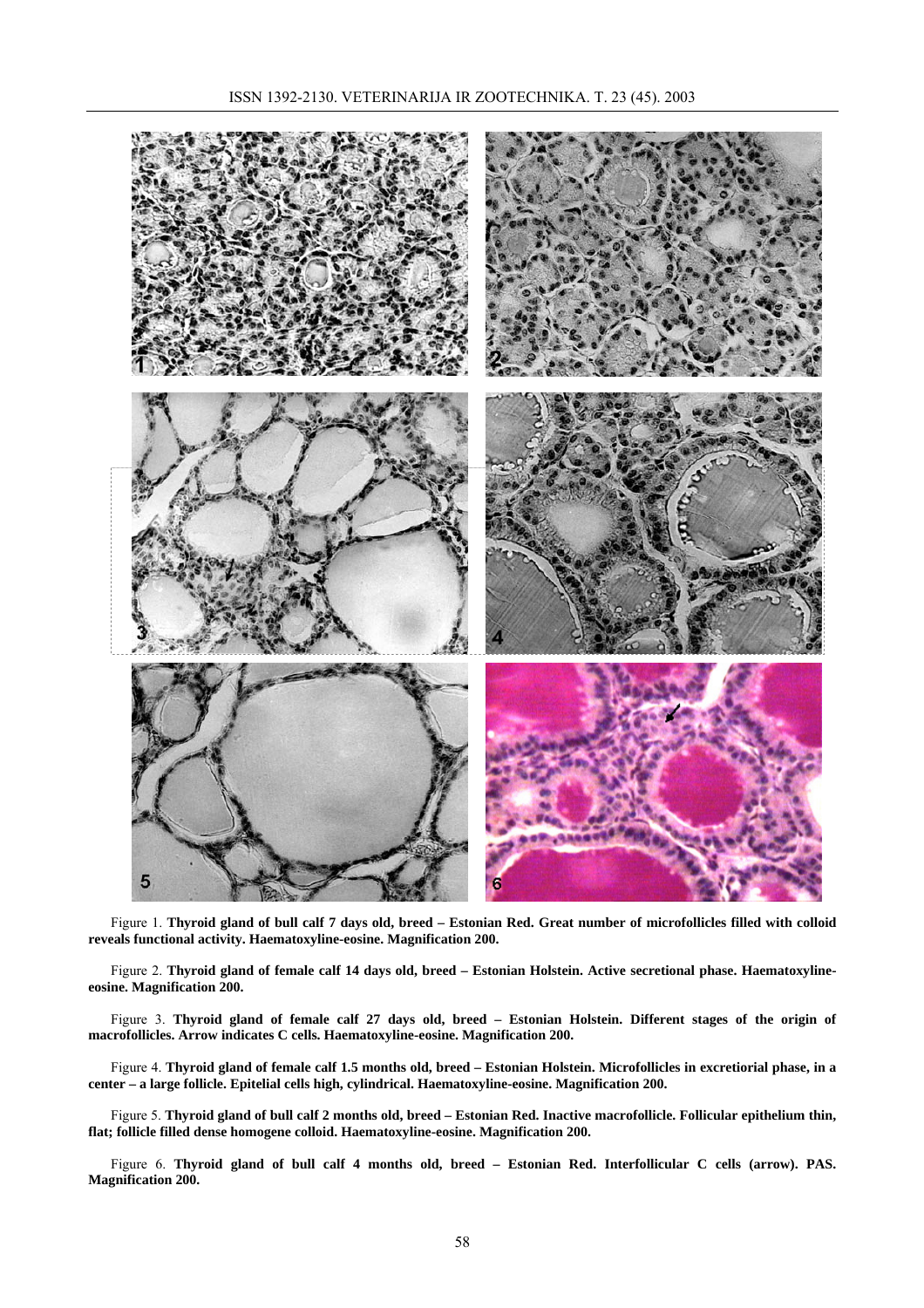

Figure 1. **Thyroid gland of bull calf 7 days old, breed – Estonian Red. Great number of microfollicles filled with colloid reveals functional activity. Haematoxyline-eosine. Magnification 200.** 

Figure 2. **Thyroid gland of female calf 14 days old, breed – Estonian Holstein. Active secretional phase. Haematoxylineeosine. Magnification 200.**

Figure 3. **Thyroid gland of female calf 27 days old, breed – Estonian Holstein. Different stages of the origin of macrofollicles. Arrow indicates C cells. Haematoxyline-eosine. Magnification 200.**

Figure 4. **Thyroid gland of female calf 1.5 months old, breed – Estonian Holstein. Microfollicles in excretiorial phase, in a center – a large follicle. Epitelial cells high, cylindrical. Haematoxyline-eosine. Magnification 200.**

Figure 5. **Thyroid gland of bull calf 2 months old, breed – Estonian Red. Inactive macrofollicle. Follicular epithelium thin, flat; follicle filled dense homogene colloid. Haematoxyline-eosine. Magnification 200.**

Figure 6. **Thyroid gland of bull calf 4 months old, breed – Estonian Red. Interfollicular C cells (arrow). PAS. Magnification 200.**